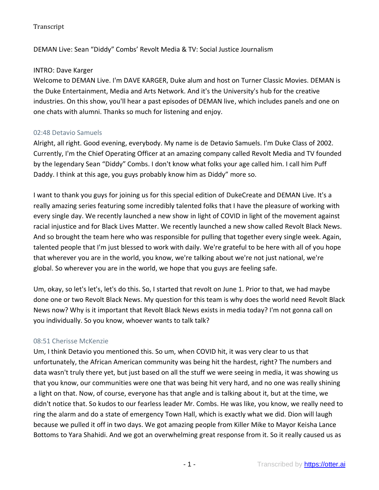DEMAN Live: Sean "Diddy" Combs' Revolt Media & TV: Social Justice Journalism

# INTRO: Dave Karger

Welcome to DEMAN Live. I'm DAVE KARGER, Duke alum and host on Turner Classic Movies. DEMAN is the Duke Entertainment, Media and Arts Network. And it's the University's hub for the creative industries. On this show, you'll hear a past episodes of DEMAN live, which includes panels and one on one chats with alumni. Thanks so much for listening and enjoy.

# 02:48 Detavio Samuels

Alright, all right. Good evening, everybody. My name is de Detavio Samuels. I'm Duke Class of 2002. Currently, I'm the Chief Operating Officer at an amazing company called Revolt Media and TV founded by the legendary Sean "Diddy" Combs. I don't know what folks your age called him. I call him Puff Daddy. I think at this age, you guys probably know him as Diddy" more so.

I want to thank you guys for joining us for this special edition of DukeCreate and DEMAN Live. It's a really amazing series featuring some incredibly talented folks that I have the pleasure of working with every single day. We recently launched a new show in light of COVID in light of the movement against racial injustice and for Black Lives Matter. We recently launched a new show called Revolt Black News. And so brought the team here who was responsible for pulling that together every single week. Again, talented people that I'm just blessed to work with daily. We're grateful to be here with all of you hope that wherever you are in the world, you know, we're talking about we're not just national, we're global. So wherever you are in the world, we hope that you guys are feeling safe.

Um, okay, so let's let's, let's do this. So, I started that revolt on June 1. Prior to that, we had maybe done one or two Revolt Black News. My question for this team is why does the world need Revolt Black News now? Why is it important that Revolt Black News exists in media today? I'm not gonna call on you individually. So you know, whoever wants to talk talk?

# 08:51 Cherisse McKenzie

Um, I think Detavio you mentioned this. So um, when COVID hit, it was very clear to us that unfortunately, the African American community was being hit the hardest, right? The numbers and data wasn't truly there yet, but just based on all the stuff we were seeing in media, it was showing us that you know, our communities were one that was being hit very hard, and no one was really shining a light on that. Now, of course, everyone has that angle and is talking about it, but at the time, we didn't notice that. So kudos to our fearless leader Mr. Combs. He was like, you know, we really need to ring the alarm and do a state of emergency Town Hall, which is exactly what we did. Dion will laugh because we pulled it off in two days. We got amazing people from Killer Mike to Mayor Keisha Lance Bottoms to Yara Shahidi. And we got an overwhelming great response from it. So it really caused us as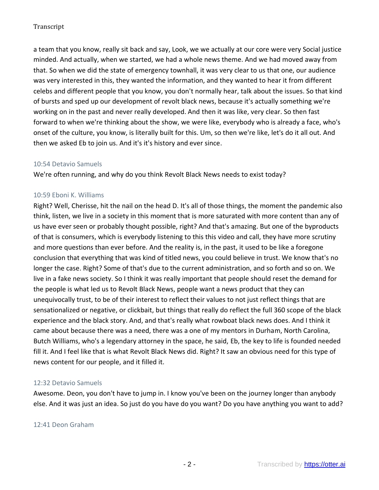a team that you know, really sit back and say, Look, we we actually at our core were very Social justice minded. And actually, when we started, we had a whole news theme. And we had moved away from that. So when we did the state of emergency townhall, it was very clear to us that one, our audience was very interested in this, they wanted the information, and they wanted to hear it from different celebs and different people that you know, you don't normally hear, talk about the issues. So that kind of bursts and sped up our development of revolt black news, because it's actually something we're working on in the past and never really developed. And then it was like, very clear. So then fast forward to when we're thinking about the show, we were like, everybody who is already a face, who's onset of the culture, you know, is literally built for this. Um, so then we're like, let's do it all out. And then we asked Eb to join us. And it's it's history and ever since.

### 10:54 Detavio Samuels

We're often running, and why do you think Revolt Black News needs to exist today?

# 10:59 Eboni K. Williams

Right? Well, Cherisse, hit the nail on the head D. It's all of those things, the moment the pandemic also think, listen, we live in a society in this moment that is more saturated with more content than any of us have ever seen or probably thought possible, right? And that's amazing. But one of the byproducts of that is consumers, which is everybody listening to this this video and call, they have more scrutiny and more questions than ever before. And the reality is, in the past, it used to be like a foregone conclusion that everything that was kind of titled news, you could believe in trust. We know that's no longer the case. Right? Some of that's due to the current administration, and so forth and so on. We live in a fake news society. So I think it was really important that people should reset the demand for the people is what led us to Revolt Black News, people want a news product that they can unequivocally trust, to be of their interest to reflect their values to not just reflect things that are sensationalized or negative, or clickbait, but things that really do reflect the full 360 scope of the black experience and the black story. And, and that's really what rowboat black news does. And I think it came about because there was a need, there was a one of my mentors in Durham, North Carolina, Butch Williams, who's a legendary attorney in the space, he said, Eb, the key to life is founded needed fill it. And I feel like that is what Revolt Black News did. Right? It saw an obvious need for this type of news content for our people, and it filled it.

# 12:32 Detavio Samuels

Awesome. Deon, you don't have to jump in. I know you've been on the journey longer than anybody else. And it was just an idea. So just do you have do you want? Do you have anything you want to add?

### 12:41 Deon Graham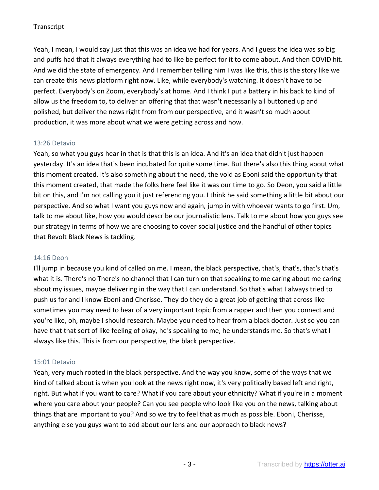Yeah, I mean, I would say just that this was an idea we had for years. And I guess the idea was so big and puffs had that it always everything had to like be perfect for it to come about. And then COVID hit. And we did the state of emergency. And I remember telling him I was like this, this is the story like we can create this news platform right now. Like, while everybody's watching. It doesn't have to be perfect. Everybody's on Zoom, everybody's at home. And I think I put a battery in his back to kind of allow us the freedom to, to deliver an offering that that wasn't necessarily all buttoned up and polished, but deliver the news right from from our perspective, and it wasn't so much about production, it was more about what we were getting across and how.

# 13:26 Detavio

Yeah, so what you guys hear in that is that this is an idea. And it's an idea that didn't just happen yesterday. It's an idea that's been incubated for quite some time. But there's also this thing about what this moment created. It's also something about the need, the void as Eboni said the opportunity that this moment created, that made the folks here feel like it was our time to go. So Deon, you said a little bit on this, and I'm not calling you it just referencing you. I think he said something a little bit about our perspective. And so what I want you guys now and again, jump in with whoever wants to go first. Um, talk to me about like, how you would describe our journalistic lens. Talk to me about how you guys see our strategy in terms of how we are choosing to cover social justice and the handful of other topics that Revolt Black News is tackling.

### 14:16 Deon

I'll jump in because you kind of called on me. I mean, the black perspective, that's, that's, that's that's what it is. There's no There's no channel that I can turn on that speaking to me caring about me caring about my issues, maybe delivering in the way that I can understand. So that's what I always tried to push us for and I know Eboni and Cherisse. They do they do a great job of getting that across like sometimes you may need to hear of a very important topic from a rapper and then you connect and you're like, oh, maybe I should research. Maybe you need to hear from a black doctor. Just so you can have that that sort of like feeling of okay, he's speaking to me, he understands me. So that's what I always like this. This is from our perspective, the black perspective.

### 15:01 Detavio

Yeah, very much rooted in the black perspective. And the way you know, some of the ways that we kind of talked about is when you look at the news right now, it's very politically based left and right, right. But what if you want to care? What if you care about your ethnicity? What if you're in a moment where you care about your people? Can you see people who look like you on the news, talking about things that are important to you? And so we try to feel that as much as possible. Eboni, Cherisse, anything else you guys want to add about our lens and our approach to black news?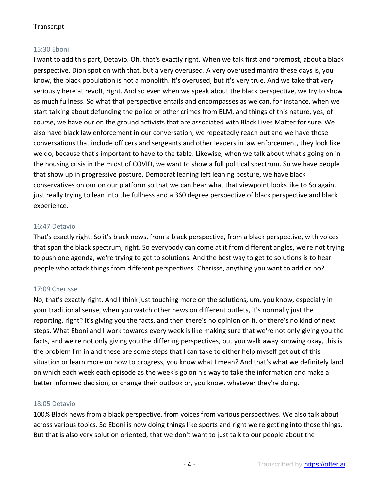# 15:30 Eboni

I want to add this part, Detavio. Oh, that's exactly right. When we talk first and foremost, about a black perspective, Dion spot on with that, but a very overused. A very overused mantra these days is, you know, the black population is not a monolith. It's overused, but it's very true. And we take that very seriously here at revolt, right. And so even when we speak about the black perspective, we try to show as much fullness. So what that perspective entails and encompasses as we can, for instance, when we start talking about defunding the police or other crimes from BLM, and things of this nature, yes, of course, we have our on the ground activists that are associated with Black Lives Matter for sure. We also have black law enforcement in our conversation, we repeatedly reach out and we have those conversations that include officers and sergeants and other leaders in law enforcement, they look like we do, because that's important to have to the table. Likewise, when we talk about what's going on in the housing crisis in the midst of COVID, we want to show a full political spectrum. So we have people that show up in progressive posture, Democrat leaning left leaning posture, we have black conservatives on our on our platform so that we can hear what that viewpoint looks like to So again, just really trying to lean into the fullness and a 360 degree perspective of black perspective and black experience.

# 16:47 Detavio

That's exactly right. So it's black news, from a black perspective, from a black perspective, with voices that span the black spectrum, right. So everybody can come at it from different angles, we're not trying to push one agenda, we're trying to get to solutions. And the best way to get to solutions is to hear people who attack things from different perspectives. Cherisse, anything you want to add or no?

# 17:09 Cherisse

No, that's exactly right. And I think just touching more on the solutions, um, you know, especially in your traditional sense, when you watch other news on different outlets, it's normally just the reporting, right? It's giving you the facts, and then there's no opinion on it, or there's no kind of next steps. What Eboni and I work towards every week is like making sure that we're not only giving you the facts, and we're not only giving you the differing perspectives, but you walk away knowing okay, this is the problem I'm in and these are some steps that I can take to either help myself get out of this situation or learn more on how to progress, you know what I mean? And that's what we definitely land on which each week each episode as the week's go on his way to take the information and make a better informed decision, or change their outlook or, you know, whatever they're doing.

### 18:05 Detavio

100% Black news from a black perspective, from voices from various perspectives. We also talk about across various topics. So Eboni is now doing things like sports and right we're getting into those things. But that is also very solution oriented, that we don't want to just talk to our people about the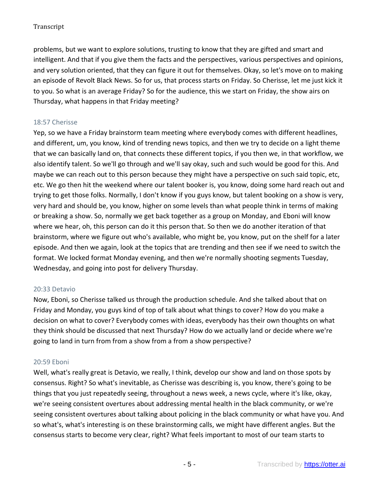problems, but we want to explore solutions, trusting to know that they are gifted and smart and intelligent. And that if you give them the facts and the perspectives, various perspectives and opinions, and very solution oriented, that they can figure it out for themselves. Okay, so let's move on to making an episode of Revolt Black News. So for us, that process starts on Friday. So Cherisse, let me just kick it to you. So what is an average Friday? So for the audience, this we start on Friday, the show airs on Thursday, what happens in that Friday meeting?

### 18:57 Cherisse

Yep, so we have a Friday brainstorm team meeting where everybody comes with different headlines, and different, um, you know, kind of trending news topics, and then we try to decide on a light theme that we can basically land on, that connects these different topics, if you then we, in that workflow, we also identify talent. So we'll go through and we'll say okay, such and such would be good for this. And maybe we can reach out to this person because they might have a perspective on such said topic, etc, etc. We go then hit the weekend where our talent booker is, you know, doing some hard reach out and trying to get those folks. Normally, I don't know if you guys know, but talent booking on a show is very, very hard and should be, you know, higher on some levels than what people think in terms of making or breaking a show. So, normally we get back together as a group on Monday, and Eboni will know where we hear, oh, this person can do it this person that. So then we do another iteration of that brainstorm, where we figure out who's available, who might be, you know, put on the shelf for a later episode. And then we again, look at the topics that are trending and then see if we need to switch the format. We locked format Monday evening, and then we're normally shooting segments Tuesday, Wednesday, and going into post for delivery Thursday.

# 20:33 Detavio

Now, Eboni, so Cherisse talked us through the production schedule. And she talked about that on Friday and Monday, you guys kind of top of talk about what things to cover? How do you make a decision on what to cover? Everybody comes with ideas, everybody has their own thoughts on what they think should be discussed that next Thursday? How do we actually land or decide where we're going to land in turn from from a show from a from a show perspective?

# 20:59 Eboni

Well, what's really great is Detavio, we really, I think, develop our show and land on those spots by consensus. Right? So what's inevitable, as Cherisse was describing is, you know, there's going to be things that you just repeatedly seeing, throughout a news week, a news cycle, where it's like, okay, we're seeing consistent overtures about addressing mental health in the black community, or we're seeing consistent overtures about talking about policing in the black community or what have you. And so what's, what's interesting is on these brainstorming calls, we might have different angles. But the consensus starts to become very clear, right? What feels important to most of our team starts to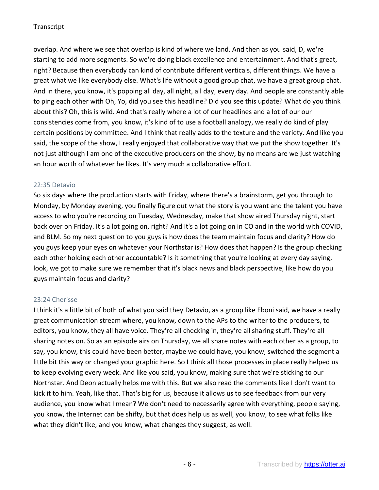overlap. And where we see that overlap is kind of where we land. And then as you said, D, we're starting to add more segments. So we're doing black excellence and entertainment. And that's great, right? Because then everybody can kind of contribute different verticals, different things. We have a great what we like everybody else. What's life without a good group chat, we have a great group chat. And in there, you know, it's popping all day, all night, all day, every day. And people are constantly able to ping each other with Oh, Yo, did you see this headline? Did you see this update? What do you think about this? Oh, this is wild. And that's really where a lot of our headlines and a lot of our our consistencies come from, you know, it's kind of to use a football analogy, we really do kind of play certain positions by committee. And I think that really adds to the texture and the variety. And like you said, the scope of the show, I really enjoyed that collaborative way that we put the show together. It's not just although I am one of the executive producers on the show, by no means are we just watching an hour worth of whatever he likes. It's very much a collaborative effort.

### 22:35 Detavio

So six days where the production starts with Friday, where there's a brainstorm, get you through to Monday, by Monday evening, you finally figure out what the story is you want and the talent you have access to who you're recording on Tuesday, Wednesday, make that show aired Thursday night, start back over on Friday. It's a lot going on, right? And it's a lot going on in CO and in the world with COVID, and BLM. So my next question to you guys is how does the team maintain focus and clarity? How do you guys keep your eyes on whatever your Northstar is? How does that happen? Is the group checking each other holding each other accountable? Is it something that you're looking at every day saying, look, we got to make sure we remember that it's black news and black perspective, like how do you guys maintain focus and clarity?

# 23:24 Cherisse

I think it's a little bit of both of what you said they Detavio, as a group like Eboni said, we have a really great communication stream where, you know, down to the APs to the writer to the producers, to editors, you know, they all have voice. They're all checking in, they're all sharing stuff. They're all sharing notes on. So as an episode airs on Thursday, we all share notes with each other as a group, to say, you know, this could have been better, maybe we could have, you know, switched the segment a little bit this way or changed your graphic here. So I think all those processes in place really helped us to keep evolving every week. And like you said, you know, making sure that we're sticking to our Northstar. And Deon actually helps me with this. But we also read the comments like I don't want to kick it to him. Yeah, like that. That's big for us, because it allows us to see feedback from our very audience, you know what I mean? We don't need to necessarily agree with everything, people saying, you know, the Internet can be shifty, but that does help us as well, you know, to see what folks like what they didn't like, and you know, what changes they suggest, as well.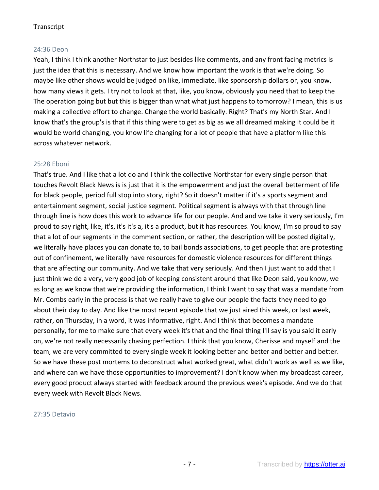## 24:36 Deon

Yeah, I think I think another Northstar to just besides like comments, and any front facing metrics is just the idea that this is necessary. And we know how important the work is that we're doing. So maybe like other shows would be judged on like, immediate, like sponsorship dollars or, you know, how many views it gets. I try not to look at that, like, you know, obviously you need that to keep the The operation going but but this is bigger than what what just happens to tomorrow? I mean, this is us making a collective effort to change. Change the world basically. Right? That's my North Star. And I know that's the group's is that if this thing were to get as big as we all dreamed making it could be it would be world changing, you know life changing for a lot of people that have a platform like this across whatever network.

# 25:28 Eboni

That's true. And I like that a lot do and I think the collective Northstar for every single person that touches Revolt Black News is is just that it is the empowerment and just the overall betterment of life for black people, period full stop into story, right? So it doesn't matter if it's a sports segment and entertainment segment, social justice segment. Political segment is always with that through line through line is how does this work to advance life for our people. And and we take it very seriously, I'm proud to say right, like, it's, it's it's a, it's a product, but it has resources. You know, I'm so proud to say that a lot of our segments in the comment section, or rather, the description will be posted digitally, we literally have places you can donate to, to bail bonds associations, to get people that are protesting out of confinement, we literally have resources for domestic violence resources for different things that are affecting our community. And we take that very seriously. And then I just want to add that I just think we do a very, very good job of keeping consistent around that like Deon said, you know, we as long as we know that we're providing the information, I think I want to say that was a mandate from Mr. Combs early in the process is that we really have to give our people the facts they need to go about their day to day. And like the most recent episode that we just aired this week, or last week, rather, on Thursday, in a word, it was informative, right. And I think that becomes a mandate personally, for me to make sure that every week it's that and the final thing I'll say is you said it early on, we're not really necessarily chasing perfection. I think that you know, Cherisse and myself and the team, we are very committed to every single week it looking better and better and better and better. So we have these post mortems to deconstruct what worked great, what didn't work as well as we like, and where can we have those opportunities to improvement? I don't know when my broadcast career, every good product always started with feedback around the previous week's episode. And we do that every week with Revolt Black News.

#### 27:35 Detavio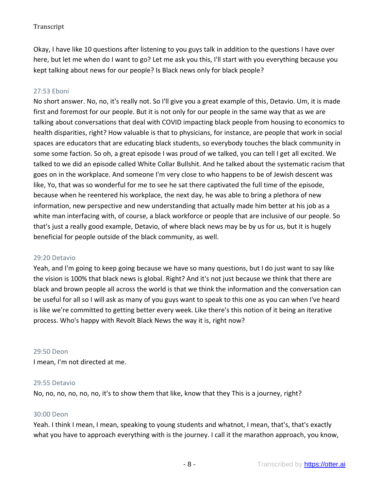Okay, I have like 10 questions after listening to you guys talk in addition to the questions I have over here, but let me when do I want to go? Let me ask you this, I'll start with you everything because you kept talking about news for our people? Is Black news only for black people?

# 27:53 Eboni

No short answer. No, no, it's really not. So I'll give you a great example of this, Detavio. Um, it is made first and foremost for our people. But it is not only for our people in the same way that as we are talking about conversations that deal with COVID impacting black people from housing to economics to health disparities, right? How valuable is that to physicians, for instance, are people that work in social spaces are educators that are educating black students, so everybody touches the black community in some some faction. So oh, a great episode I was proud of we talked, you can tell I get all excited. We talked to we did an episode called White Collar Bullshit. And he talked about the systematic racism that goes on in the workplace. And someone I'm very close to who happens to be of Jewish descent was like, Yo, that was so wonderful for me to see he sat there captivated the full time of the episode, because when he reentered his workplace, the next day, he was able to bring a plethora of new information, new perspective and new understanding that actually made him better at his job as a white man interfacing with, of course, a black workforce or people that are inclusive of our people. So that's just a really good example, Detavio, of where black news may be by us for us, but it is hugely beneficial for people outside of the black community, as well.

#### 29:20 Detavio

Yeah, and I'm going to keep going because we have so many questions, but I do just want to say like the vision is 100% that black news is global. Right? And it's not just because we think that there are black and brown people all across the world is that we think the information and the conversation can be useful for all so I will ask as many of you guys want to speak to this one as you can when I've heard is like we're committed to getting better every week. Like there's this notion of it being an iterative process. Who's happy with Revolt Black News the way it is, right now?

### 29:50 Deon

I mean, I'm not directed at me.

# 29:55 Detavio

No, no, no, no, no, no, it's to show them that like, know that they This is a journey, right?

#### 30:00 Deon

Yeah. I think I mean, I mean, speaking to young students and whatnot, I mean, that's, that's exactly what you have to approach everything with is the journey. I call it the marathon approach, you know,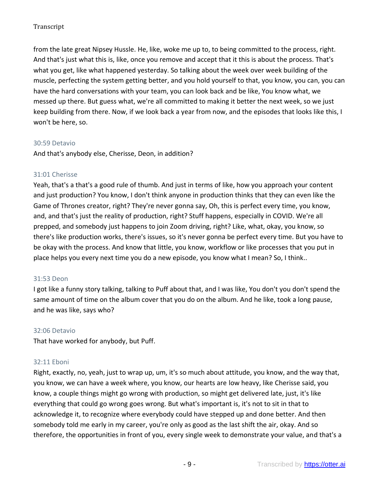from the late great Nipsey Hussle. He, like, woke me up to, to being committed to the process, right. And that's just what this is, like, once you remove and accept that it this is about the process. That's what you get, like what happened yesterday. So talking about the week over week building of the muscle, perfecting the system getting better, and you hold yourself to that, you know, you can, you can have the hard conversations with your team, you can look back and be like, You know what, we messed up there. But guess what, we're all committed to making it better the next week, so we just keep building from there. Now, if we look back a year from now, and the episodes that looks like this, I won't be here, so.

### 30:59 Detavio

And that's anybody else, Cherisse, Deon, in addition?

# 31:01 Cherisse

Yeah, that's a that's a good rule of thumb. And just in terms of like, how you approach your content and just production? You know, I don't think anyone in production thinks that they can even like the Game of Thrones creator, right? They're never gonna say, Oh, this is perfect every time, you know, and, and that's just the reality of production, right? Stuff happens, especially in COVID. We're all prepped, and somebody just happens to join Zoom driving, right? Like, what, okay, you know, so there's like production works, there's issues, so it's never gonna be perfect every time. But you have to be okay with the process. And know that little, you know, workflow or like processes that you put in place helps you every next time you do a new episode, you know what I mean? So, I think..

### 31:53 Deon

I got like a funny story talking, talking to Puff about that, and I was like, You don't you don't spend the same amount of time on the album cover that you do on the album. And he like, took a long pause, and he was like, says who?

### 32:06 Detavio

That have worked for anybody, but Puff.

### 32:11 Eboni

Right, exactly, no, yeah, just to wrap up, um, it's so much about attitude, you know, and the way that, you know, we can have a week where, you know, our hearts are low heavy, like Cherisse said, you know, a couple things might go wrong with production, so might get delivered late, just, it's like everything that could go wrong goes wrong. But what's important is, it's not to sit in that to acknowledge it, to recognize where everybody could have stepped up and done better. And then somebody told me early in my career, you're only as good as the last shift the air, okay. And so therefore, the opportunities in front of you, every single week to demonstrate your value, and that's a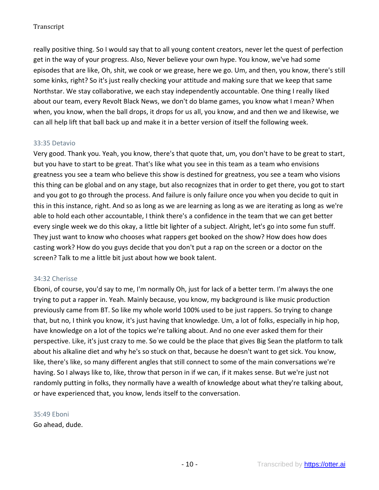really positive thing. So I would say that to all young content creators, never let the quest of perfection get in the way of your progress. Also, Never believe your own hype. You know, we've had some episodes that are like, Oh, shit, we cook or we grease, here we go. Um, and then, you know, there's still some kinks, right? So it's just really checking your attitude and making sure that we keep that same Northstar. We stay collaborative, we each stay independently accountable. One thing I really liked about our team, every Revolt Black News, we don't do blame games, you know what I mean? When when, you know, when the ball drops, it drops for us all, you know, and and then we and likewise, we can all help lift that ball back up and make it in a better version of itself the following week.

# 33:35 Detavio

Very good. Thank you. Yeah, you know, there's that quote that, um, you don't have to be great to start, but you have to start to be great. That's like what you see in this team as a team who envisions greatness you see a team who believe this show is destined for greatness, you see a team who visions this thing can be global and on any stage, but also recognizes that in order to get there, you got to start and you got to go through the process. And failure is only failure once you when you decide to quit in this in this instance, right. And so as long as we are learning as long as we are iterating as long as we're able to hold each other accountable, I think there's a confidence in the team that we can get better every single week we do this okay, a little bit lighter of a subject. Alright, let's go into some fun stuff. They just want to know who chooses what rappers get booked on the show? How does how does casting work? How do you guys decide that you don't put a rap on the screen or a doctor on the screen? Talk to me a little bit just about how we book talent.

### 34:32 Cherisse

Eboni, of course, you'd say to me, I'm normally Oh, just for lack of a better term. I'm always the one trying to put a rapper in. Yeah. Mainly because, you know, my background is like music production previously came from BT. So like my whole world 100% used to be just rappers. So trying to change that, but no, I think you know, it's just having that knowledge. Um, a lot of folks, especially in hip hop, have knowledge on a lot of the topics we're talking about. And no one ever asked them for their perspective. Like, it's just crazy to me. So we could be the place that gives Big Sean the platform to talk about his alkaline diet and why he's so stuck on that, because he doesn't want to get sick. You know, like, there's like, so many different angles that still connect to some of the main conversations we're having. So I always like to, like, throw that person in if we can, if it makes sense. But we're just not randomly putting in folks, they normally have a wealth of knowledge about what they're talking about, or have experienced that, you know, lends itself to the conversation.

### 35:49 Eboni

Go ahead, dude.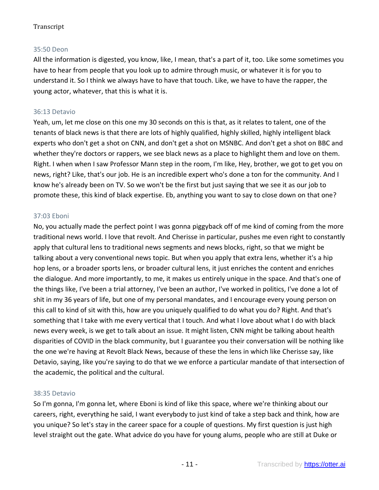# 35:50 Deon

All the information is digested, you know, like, I mean, that's a part of it, too. Like some sometimes you have to hear from people that you look up to admire through music, or whatever it is for you to understand it. So I think we always have to have that touch. Like, we have to have the rapper, the young actor, whatever, that this is what it is.

### 36:13 Detavio

Yeah, um, let me close on this one my 30 seconds on this is that, as it relates to talent, one of the tenants of black news is that there are lots of highly qualified, highly skilled, highly intelligent black experts who don't get a shot on CNN, and don't get a shot on MSNBC. And don't get a shot on BBC and whether they're doctors or rappers, we see black news as a place to highlight them and love on them. Right. I when when I saw Professor Mann step in the room, I'm like, Hey, brother, we got to get you on news, right? Like, that's our job. He is an incredible expert who's done a ton for the community. And I know he's already been on TV. So we won't be the first but just saying that we see it as our job to promote these, this kind of black expertise. Eb, anything you want to say to close down on that one?

### 37:03 Eboni

No, you actually made the perfect point I was gonna piggyback off of me kind of coming from the more traditional news world. I love that revolt. And Cherisse in particular, pushes me even right to constantly apply that cultural lens to traditional news segments and news blocks, right, so that we might be talking about a very conventional news topic. But when you apply that extra lens, whether it's a hip hop lens, or a broader sports lens, or broader cultural lens, it just enriches the content and enriches the dialogue. And more importantly, to me, it makes us entirely unique in the space. And that's one of the things like, I've been a trial attorney, I've been an author, I've worked in politics, I've done a lot of shit in my 36 years of life, but one of my personal mandates, and I encourage every young person on this call to kind of sit with this, how are you uniquely qualified to do what you do? Right. And that's something that I take with me every vertical that I touch. And what I love about what I do with black news every week, is we get to talk about an issue. It might listen, CNN might be talking about health disparities of COVID in the black community, but I guarantee you their conversation will be nothing like the one we're having at Revolt Black News, because of these the lens in which like Cherisse say, like Detavio, saying, like you're saying to do that we we enforce a particular mandate of that intersection of the academic, the political and the cultural.

### 38:35 Detavio

So I'm gonna, I'm gonna let, where Eboni is kind of like this space, where we're thinking about our careers, right, everything he said, I want everybody to just kind of take a step back and think, how are you unique? So let's stay in the career space for a couple of questions. My first question is just high level straight out the gate. What advice do you have for young alums, people who are still at Duke or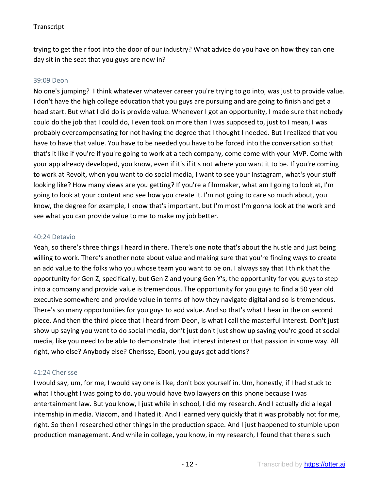trying to get their foot into the door of our industry? What advice do you have on how they can one day sit in the seat that you guys are now in?

### 39:09 Deon

No one's jumping? I think whatever whatever career you're trying to go into, was just to provide value. I don't have the high college education that you guys are pursuing and are going to finish and get a head start. But what I did do is provide value. Whenever I got an opportunity, I made sure that nobody could do the job that I could do, I even took on more than I was supposed to, just to I mean, I was probably overcompensating for not having the degree that I thought I needed. But I realized that you have to have that value. You have to be needed you have to be forced into the conversation so that that's it like if you're if you're going to work at a tech company, come come with your MVP. Come with your app already developed, you know, even if it's if it's not where you want it to be. If you're coming to work at Revolt, when you want to do social media, I want to see your Instagram, what's your stuff looking like? How many views are you getting? If you're a filmmaker, what am I going to look at, I'm going to look at your content and see how you create it. I'm not going to care so much about, you know, the degree for example, I know that's important, but I'm most I'm gonna look at the work and see what you can provide value to me to make my job better.

#### 40:24 Detavio

Yeah, so there's three things I heard in there. There's one note that's about the hustle and just being willing to work. There's another note about value and making sure that you're finding ways to create an add value to the folks who you whose team you want to be on. I always say that I think that the opportunity for Gen Z, specifically, but Gen Z and young Gen Y's, the opportunity for you guys to step into a company and provide value is tremendous. The opportunity for you guys to find a 50 year old executive somewhere and provide value in terms of how they navigate digital and so is tremendous. There's so many opportunities for you guys to add value. And so that's what I hear in the on second piece. And then the third piece that I heard from Deon, is what I call the masterful interest. Don't just show up saying you want to do social media, don't just don't just show up saying you're good at social media, like you need to be able to demonstrate that interest interest or that passion in some way. All right, who else? Anybody else? Cherisse, Eboni, you guys got additions?

### 41:24 Cherisse

I would say, um, for me, I would say one is like, don't box yourself in. Um, honestly, if I had stuck to what I thought I was going to do, you would have two lawyers on this phone because I was entertainment law. But you know, I just while in school, I did my research. And I actually did a legal internship in media. Viacom, and I hated it. And I learned very quickly that it was probably not for me, right. So then I researched other things in the production space. And I just happened to stumble upon production management. And while in college, you know, in my research, I found that there's such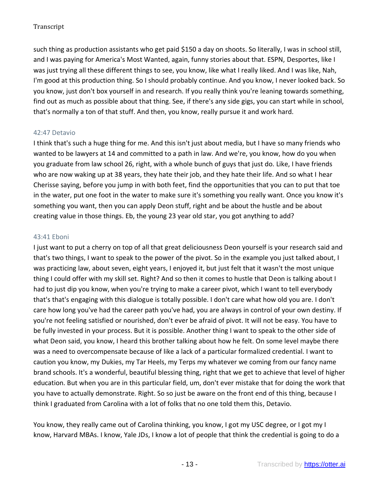such thing as production assistants who get paid \$150 a day on shoots. So literally, I was in school still, and I was paying for America's Most Wanted, again, funny stories about that. ESPN, Desportes, like I was just trying all these different things to see, you know, like what I really liked. And I was like, Nah, I'm good at this production thing. So I should probably continue. And you know, I never looked back. So you know, just don't box yourself in and research. If you really think you're leaning towards something, find out as much as possible about that thing. See, if there's any side gigs, you can start while in school, that's normally a ton of that stuff. And then, you know, really pursue it and work hard.

# 42:47 Detavio

I think that's such a huge thing for me. And this isn't just about media, but I have so many friends who wanted to be lawyers at 14 and committed to a path in law. And we're, you know, how do you when you graduate from law school 26, right, with a whole bunch of guys that just do. Like, I have friends who are now waking up at 38 years, they hate their job, and they hate their life. And so what I hear Cherisse saying, before you jump in with both feet, find the opportunities that you can to put that toe in the water, put one foot in the water to make sure it's something you really want. Once you know it's something you want, then you can apply Deon stuff, right and be about the hustle and be about creating value in those things. Eb, the young 23 year old star, you got anything to add?

# 43:41 Eboni

I just want to put a cherry on top of all that great deliciousness Deon yourself is your research said and that's two things, I want to speak to the power of the pivot. So in the example you just talked about, I was practicing law, about seven, eight years, I enjoyed it, but just felt that it wasn't the most unique thing I could offer with my skill set. Right? And so then it comes to hustle that Deon is talking about I had to just dip you know, when you're trying to make a career pivot, which I want to tell everybody that's that's engaging with this dialogue is totally possible. I don't care what how old you are. I don't care how long you've had the career path you've had, you are always in control of your own destiny. If you're not feeling satisfied or nourished, don't ever be afraid of pivot. It will not be easy. You have to be fully invested in your process. But it is possible. Another thing I want to speak to the other side of what Deon said, you know, I heard this brother talking about how he felt. On some level maybe there was a need to overcompensate because of like a lack of a particular formalized credential. I want to caution you know, my Dukies, my Tar Heels, my Terps my whatever we coming from our fancy name brand schools. It's a wonderful, beautiful blessing thing, right that we get to achieve that level of higher education. But when you are in this particular field, um, don't ever mistake that for doing the work that you have to actually demonstrate. Right. So so just be aware on the front end of this thing, because I think I graduated from Carolina with a lot of folks that no one told them this, Detavio.

You know, they really came out of Carolina thinking, you know, I got my USC degree, or I got my I know, Harvard MBAs. I know, Yale JDs, I know a lot of people that think the credential is going to do a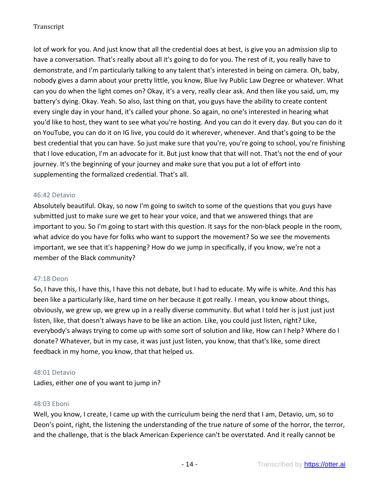lot of work for you. And just know that all the credential does at best, is give you an admission slip to have a conversation. That's really about all it's going to do for you. The rest of it, you really have to demonstrate, and I'm particularly talking to any talent that's interested in being on camera. Oh, baby, nobody gives a damn about your pretty little, you know, Blue Ivy Public Law Degree or whatever. What can you do when the light comes on? Okay, it's a very, really clear ask. And then like you said, um, my battery's dying. Okay. Yeah. So also, last thing on that, you guys have the ability to create content every single day in your hand, it's called your phone. So again, no one's interested in hearing what you'd like to host, they want to see what you're hosting. And you can do it every day. But you can do it on YouTube, you can do it on IG live, you could do it wherever, whenever. And that's going to be the best credential that you can have. So just make sure that you're, you're going to school, you're finishing that I love education, I'm an advocate for it. But just know that that will not. That's not the end of your journey. It's the beginning of your journey and make sure that you put a lot of effort into supplementing the formalized credential. That's all.

### 46:42 Detavio

Absolutely beautiful. Okay, so now I'm going to switch to some of the questions that you guys have submitted just to make sure we get to hear your voice, and that we answered things that are important to you. So I'm going to start with this question. It says for the non-black people in the room, what advice do you have for folks who want to support the movement? So we see the movements important, we see that it's happening? How do we jump in specifically, if you know, we're not a member of the Black community?

### 47:18 Deon

So, I have this, I have this, I have this not debate, but I had to educate. My wife is white. And this has been like a particularly like, hard time on her because it got really. I mean, you know about things, obviously, we grew up, we grew up in a really diverse community. But what I told her is just just just listen, like, that doesn't always have to be like an action. Like, you could just listen, right? Like, everybody's always trying to come up with some sort of solution and like, How can I help? Where do I donate? Whatever, but in my case, it was just just listen, you know, that that's like, some direct feedback in my home, you know, that that helped us.

### 48:01 Detavio

Ladies, either one of you want to jump in?

### 48:03 Eboni

Well, you know, I create, I came up with the curriculum being the nerd that I am, Detavio, um, so to Deon's point, right, the listening the understanding of the true nature of some of the horror, the terror, and the challenge, that is the black American Experience can't be overstated. And it really cannot be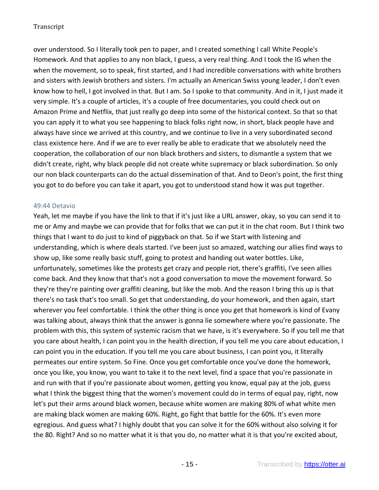over understood. So I literally took pen to paper, and I created something I call White People's Homework. And that applies to any non black, I guess, a very real thing. And I took the IG when the when the movement, so to speak, first started, and I had incredible conversations with white brothers and sisters with Jewish brothers and sisters. I'm actually an American Swiss young leader, I don't even know how to hell, I got involved in that. But I am. So I spoke to that community. And in it, I just made it very simple. It's a couple of articles, it's a couple of free documentaries, you could check out on Amazon Prime and Netflix, that just really go deep into some of the historical context. So that so that you can apply it to what you see happening to black folks right now, in short, black people have and always have since we arrived at this country, and we continue to live in a very subordinated second class existence here. And if we are to ever really be able to eradicate that we absolutely need the cooperation, the collaboration of our non black brothers and sisters, to dismantle a system that we didn't create, right, why black people did not create white supremacy or black subordination. So only our non black counterparts can do the actual dissemination of that. And to Deon's point, the first thing you got to do before you can take it apart, you got to understood stand how it was put together.

### 49:44 Detavio

Yeah, let me maybe if you have the link to that if it's just like a URL answer, okay, so you can send it to me or Amy and maybe we can provide that for folks that we can put it in the chat room. But I think two things that I want to do just to kind of piggyback on that. So if we Start with listening and understanding, which is where deals started. I've been just so amazed, watching our allies find ways to show up, like some really basic stuff, going to protest and handing out water bottles. Like, unfortunately, sometimes like the protests get crazy and people riot, there's graffiti, I've seen allies come back. And they know that that's not a good conversation to move the movement forward. So they're they're painting over graffiti cleaning, but like the mob. And the reason I bring this up is that there's no task that's too small. So get that understanding, do your homework, and then again, start wherever you feel comfortable. I think the other thing is once you get that homework is kind of Evany was talking about, always think that the answer is gonna lie somewhere where you're passionate. The problem with this, this system of systemic racism that we have, is it's everywhere. So if you tell me that you care about health, I can point you in the health direction, if you tell me you care about education, I can point you in the education. If you tell me you care about business, I can point you, it literally permeates our entire system. So Fine. Once you get comfortable once you've done the homework, once you like, you know, you want to take it to the next level, find a space that you're passionate in and run with that if you're passionate about women, getting you know, equal pay at the job, guess what I think the biggest thing that the women's movement could do in terms of equal pay, right, now let's put their arms around black women, because white women are making 80% of what white men are making black women are making 60%. Right, go fight that battle for the 60%. It's even more egregious. And guess what? I highly doubt that you can solve it for the 60% without also solving it for the 80. Right? And so no matter what it is that you do, no matter what it is that you're excited about,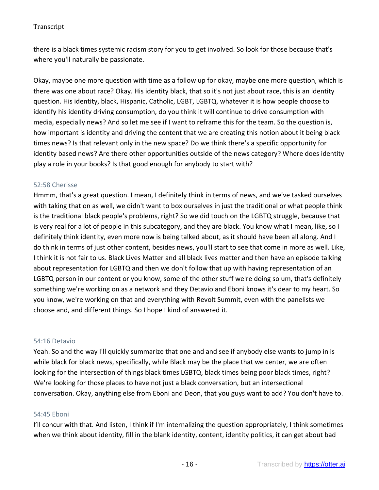there is a black times systemic racism story for you to get involved. So look for those because that's where you'll naturally be passionate.

Okay, maybe one more question with time as a follow up for okay, maybe one more question, which is there was one about race? Okay. His identity black, that so it's not just about race, this is an identity question. His identity, black, Hispanic, Catholic, LGBT, LGBTQ, whatever it is how people choose to identify his identity driving consumption, do you think it will continue to drive consumption with media, especially news? And so let me see if I want to reframe this for the team. So the question is, how important is identity and driving the content that we are creating this notion about it being black times news? Is that relevant only in the new space? Do we think there's a specific opportunity for identity based news? Are there other opportunities outside of the news category? Where does identity play a role in your books? Is that good enough for anybody to start with?

### 52:58 Cherisse

Hmmm, that's a great question. I mean, I definitely think in terms of news, and we've tasked ourselves with taking that on as well, we didn't want to box ourselves in just the traditional or what people think is the traditional black people's problems, right? So we did touch on the LGBTQ struggle, because that is very real for a lot of people in this subcategory, and they are black. You know what I mean, like, so I definitely think identity, even more now is being talked about, as it should have been all along. And I do think in terms of just other content, besides news, you'll start to see that come in more as well. Like, I think it is not fair to us. Black Lives Matter and all black lives matter and then have an episode talking about representation for LGBTQ and then we don't follow that up with having representation of an LGBTQ person in our content or you know, some of the other stuff we're doing so um, that's definitely something we're working on as a network and they Detavio and Eboni knows it's dear to my heart. So you know, we're working on that and everything with Revolt Summit, even with the panelists we choose and, and different things. So I hope I kind of answered it.

### 54:16 Detavio

Yeah. So and the way I'll quickly summarize that one and and see if anybody else wants to jump in is while black for black news, specifically, while Black may be the place that we center, we are often looking for the intersection of things black times LGBTQ, black times being poor black times, right? We're looking for those places to have not just a black conversation, but an intersectional conversation. Okay, anything else from Eboni and Deon, that you guys want to add? You don't have to.

### 54:45 Eboni

I'll concur with that. And listen, I think if I'm internalizing the question appropriately, I think sometimes when we think about identity, fill in the blank identity, content, identity politics, it can get about bad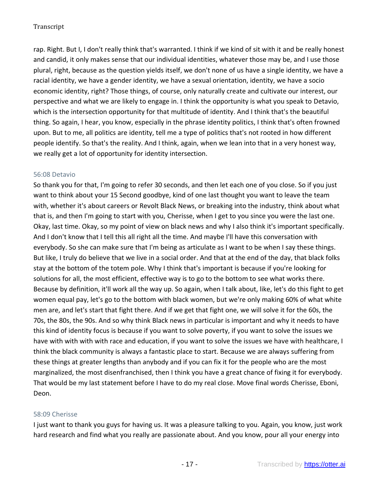rap. Right. But I, I don't really think that's warranted. I think if we kind of sit with it and be really honest and candid, it only makes sense that our individual identities, whatever those may be, and I use those plural, right, because as the question yields itself, we don't none of us have a single identity, we have a racial identity, we have a gender identity, we have a sexual orientation, identity, we have a socio economic identity, right? Those things, of course, only naturally create and cultivate our interest, our perspective and what we are likely to engage in. I think the opportunity is what you speak to Detavio, which is the intersection opportunity for that multitude of identity. And I think that's the beautiful thing. So again, I hear, you know, especially in the phrase identity politics, I think that's often frowned upon. But to me, all politics are identity, tell me a type of politics that's not rooted in how different people identify. So that's the reality. And I think, again, when we lean into that in a very honest way, we really get a lot of opportunity for identity intersection.

### 56:08 Detavio

So thank you for that, I'm going to refer 30 seconds, and then let each one of you close. So if you just want to think about your 15 Second goodbye, kind of one last thought you want to leave the team with, whether it's about careers or Revolt Black News, or breaking into the industry, think about what that is, and then I'm going to start with you, Cherisse, when I get to you since you were the last one. Okay, last time. Okay, so my point of view on black news and why I also think it's important specifically. And I don't know that I tell this all right all the time. And maybe I'll have this conversation with everybody. So she can make sure that I'm being as articulate as I want to be when I say these things. But like, I truly do believe that we live in a social order. And that at the end of the day, that black folks stay at the bottom of the totem pole. Why I think that's important is because if you're looking for solutions for all, the most efficient, effective way is to go to the bottom to see what works there. Because by definition, it'll work all the way up. So again, when I talk about, like, let's do this fight to get women equal pay, let's go to the bottom with black women, but we're only making 60% of what white men are, and let's start that fight there. And if we get that fight one, we will solve it for the 60s, the 70s, the 80s, the 90s. And so why think Black news in particular is important and why it needs to have this kind of identity focus is because if you want to solve poverty, if you want to solve the issues we have with with with with race and education, if you want to solve the issues we have with healthcare, I think the black community is always a fantastic place to start. Because we are always suffering from these things at greater lengths than anybody and if you can fix it for the people who are the most marginalized, the most disenfranchised, then I think you have a great chance of fixing it for everybody. That would be my last statement before I have to do my real close. Move final words Cherisse, Eboni, Deon.

### 58:09 Cherisse

I just want to thank you guys for having us. It was a pleasure talking to you. Again, you know, just work hard research and find what you really are passionate about. And you know, pour all your energy into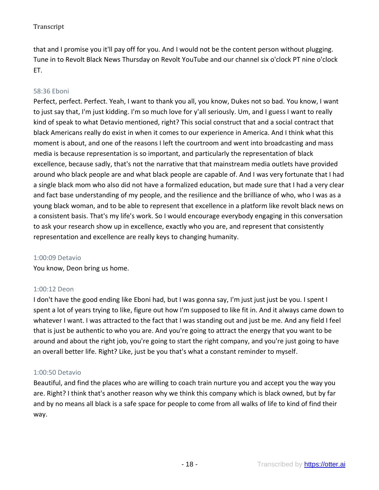that and I promise you it'll pay off for you. And I would not be the content person without plugging. Tune in to Revolt Black News Thursday on Revolt YouTube and our channel six o'clock PT nine o'clock ET.

# 58:36 Eboni

Perfect, perfect. Perfect. Yeah, I want to thank you all, you know, Dukes not so bad. You know, I want to just say that, I'm just kidding. I'm so much love for y'all seriously. Um, and I guess I want to really kind of speak to what Detavio mentioned, right? This social construct that and a social contract that black Americans really do exist in when it comes to our experience in America. And I think what this moment is about, and one of the reasons I left the courtroom and went into broadcasting and mass media is because representation is so important, and particularly the representation of black excellence, because sadly, that's not the narrative that that mainstream media outlets have provided around who black people are and what black people are capable of. And I was very fortunate that I had a single black mom who also did not have a formalized education, but made sure that I had a very clear and fact base understanding of my people, and the resilience and the brilliance of who, who I was as a young black woman, and to be able to represent that excellence in a platform like revolt black news on a consistent basis. That's my life's work. So I would encourage everybody engaging in this conversation to ask your research show up in excellence, exactly who you are, and represent that consistently representation and excellence are really keys to changing humanity.

### 1:00:09 Detavio

You know, Deon bring us home.

# 1:00:12 Deon

I don't have the good ending like Eboni had, but I was gonna say, I'm just just just be you. I spent I spent a lot of years trying to like, figure out how I'm supposed to like fit in. And it always came down to whatever I want. I was attracted to the fact that I was standing out and just be me. And any field I feel that is just be authentic to who you are. And you're going to attract the energy that you want to be around and about the right job, you're going to start the right company, and you're just going to have an overall better life. Right? Like, just be you that's what a constant reminder to myself.

# 1:00:50 Detavio

Beautiful, and find the places who are willing to coach train nurture you and accept you the way you are. Right? I think that's another reason why we think this company which is black owned, but by far and by no means all black is a safe space for people to come from all walks of life to kind of find their way.